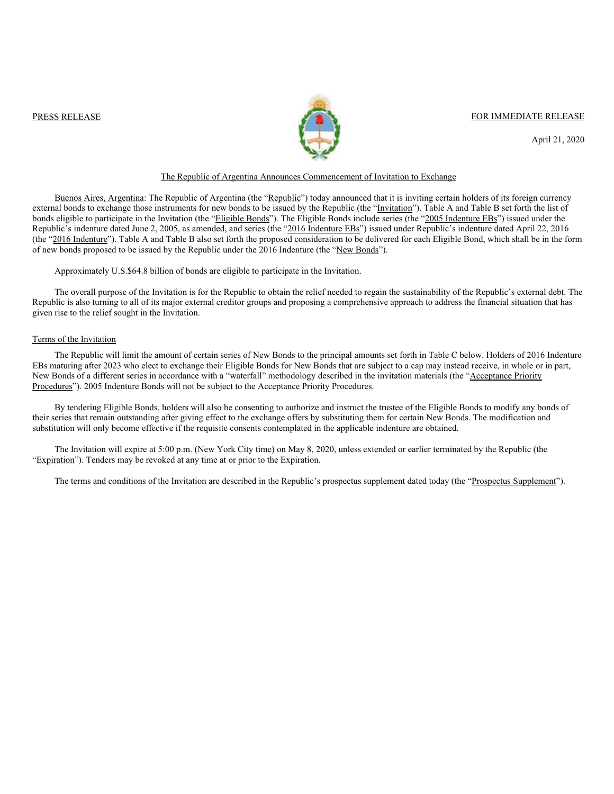

PRESS RELEASE FOR IMMEDIATE RELEASE

April 21, 2020

## The Republic of Argentina Announces Commencement of Invitation to Exchange

Buenos Aires, Argentina: The Republic of Argentina (the "Republic") today announced that it is inviting certain holders of its foreign currency external bonds to exchange those instruments for new bonds to be issued by the Republic (the "Invitation"). Table A and Table B set forth the list of bonds eligible to participate in the Invitation (the "Eligible Bonds"). The Eligible Bonds include series (the "2005 Indenture EBs") issued under the Republic's indenture dated June 2, 2005, as amended, and series (the "2016 Indenture EBs") issued under Republic's indenture dated April 22, 2016 (the "2016 Indenture"). Table A and Table B also set forth the proposed consideration to be delivered for each Eligible Bond, which shall be in the form of new bonds proposed to be issued by the Republic under the 2016 Indenture (the "New Bonds").

### Approximately U.S.\$64.8 billion of bonds are eligible to participate in the Invitation.

The overall purpose of the Invitation is for the Republic to obtain the relief needed to regain the sustainability of the Republic's external debt. The Republic is also turning to all of its major external creditor groups and proposing a comprehensive approach to address the financial situation that has given rise to the relief sought in the Invitation.

#### Terms of the Invitation

The Republic will limit the amount of certain series of New Bonds to the principal amounts set forth in Table C below. Holders of 2016 Indenture EBs maturing after 2023 who elect to exchange their Eligible Bonds for New Bonds that are subject to a cap may instead receive, in whole or in part, New Bonds of a different series in accordance with a "waterfall" methodology described in the invitation materials (the "Acceptance Priority Procedures"). 2005 Indenture Bonds will not be subject to the Acceptance Priority Procedures.

By tendering Eligible Bonds, holders will also be consenting to authorize and instruct the trustee of the Eligible Bonds to modify any bonds of their series that remain outstanding after giving effect to the exchange offers by substituting them for certain New Bonds. The modification and substitution will only become effective if the requisite consents contemplated in the applicable indenture are obtained.

The Invitation will expire at 5:00 p.m. (New York City time) on May 8, 2020, unless extended or earlier terminated by the Republic (the "Expiration"). Tenders may be revoked at any time at or prior to the Expiration.

The terms and conditions of the Invitation are described in the Republic's prospectus supplement dated today (the "Prospectus Supplement").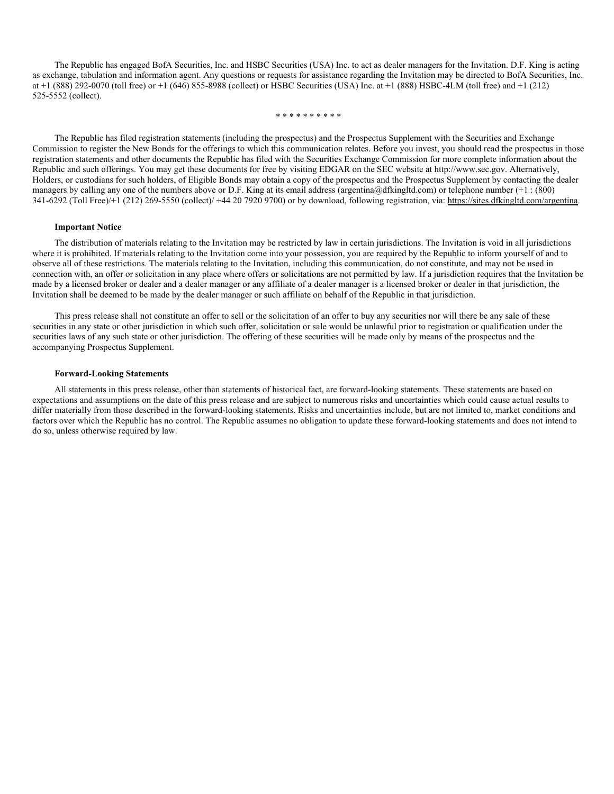The Republic has engaged BofA Securities, Inc. and HSBC Securities (USA) Inc. to act as dealer managers for the Invitation. D.F. King is acting as exchange, tabulation and information agent. Any questions or requests for assistance regarding the Invitation may be directed to BofA Securities, Inc. at +1 (888) 292-0070 (toll free) or +1 (646) 855-8988 (collect) or HSBC Securities (USA) Inc. at +1 (888) HSBC-4LM (toll free) and +1 (212) 525-5552 (collect).

\* \* \* \* \* \* \* \* \* \*

The Republic has filed registration statements (including the prospectus) and the Prospectus Supplement with the Securities and Exchange Commission to register the New Bonds for the offerings to which this communication relates. Before you invest, you should read the prospectus in those registration statements and other documents the Republic has filed with the Securities Exchange Commission for more complete information about the Republic and such offerings. You may get these documents for free by visiting EDGAR on the SEC website at http://www.sec.gov. Alternatively, Holders, or custodians for such holders, of Eligible Bonds may obtain a copy of the prospectus and the Prospectus Supplement by contacting the dealer managers by calling any one of the numbers above or D.F. King at its email address (argentina@dfkingltd.com) or telephone number (+1 : (800) 341-6292 (Toll Free)/+1 (212) 269-5550 (collect)/ +44 20 7920 9700) or by download, following registration, via: https://sites.dfkingltd.com/argentina.

#### **Important Notice**

The distribution of materials relating to the Invitation may be restricted by law in certain jurisdictions. The Invitation is void in all jurisdictions where it is prohibited. If materials relating to the Invitation come into your possession, you are required by the Republic to inform yourself of and to observe all of these restrictions. The materials relating to the Invitation, including this communication, do not constitute, and may not be used in connection with, an offer or solicitation in any place where offers or solicitations are not permitted by law. If a jurisdiction requires that the Invitation be made by a licensed broker or dealer and a dealer manager or any affiliate of a dealer manager is a licensed broker or dealer in that jurisdiction, the Invitation shall be deemed to be made by the dealer manager or such affiliate on behalf of the Republic in that jurisdiction.

This press release shall not constitute an offer to sell or the solicitation of an offer to buy any securities nor will there be any sale of these securities in any state or other jurisdiction in which such offer, solicitation or sale would be unlawful prior to registration or qualification under the securities laws of any such state or other jurisdiction. The offering of these securities will be made only by means of the prospectus and the accompanying Prospectus Supplement.

### **Forward-Looking Statements**

All statements in this press release, other than statements of historical fact, are forward-looking statements. These statements are based on expectations and assumptions on the date of this press release and are subject to numerous risks and uncertainties which could cause actual results to differ materially from those described in the forward-looking statements. Risks and uncertainties include, but are not limited to, market conditions and factors over which the Republic has no control. The Republic assumes no obligation to update these forward-looking statements and does not intend to do so, unless otherwise required by law.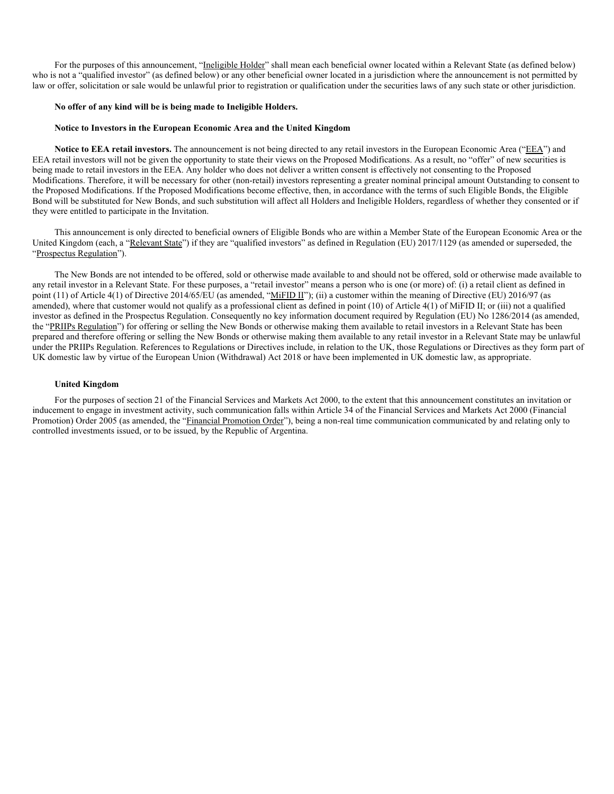For the purposes of this announcement, "Ineligible Holder" shall mean each beneficial owner located within a Relevant State (as defined below) who is not a "qualified investor" (as defined below) or any other beneficial owner located in a jurisdiction where the announcement is not permitted by law or offer, solicitation or sale would be unlawful prior to registration or qualification under the securities laws of any such state or other jurisdiction.

#### **No offer of any kind will be is being made to Ineligible Holders.**

## **Notice to Investors in the European Economic Area and the United Kingdom**

**Notice to EEA retail investors.** The announcement is not being directed to any retail investors in the European Economic Area ("EEA") and EEA retail investors will not be given the opportunity to state their views on the Proposed Modifications. As a result, no "offer" of new securities is being made to retail investors in the EEA. Any holder who does not deliver a written consent is effectively not consenting to the Proposed Modifications. Therefore, it will be necessary for other (non-retail) investors representing a greater nominal principal amount Outstanding to consent to the Proposed Modifications. If the Proposed Modifications become effective, then, in accordance with the terms of such Eligible Bonds, the Eligible Bond will be substituted for New Bonds, and such substitution will affect all Holders and Ineligible Holders, regardless of whether they consented or if they were entitled to participate in the Invitation.

This announcement is only directed to beneficial owners of Eligible Bonds who are within a Member State of the European Economic Area or the United Kingdom (each, a "Relevant State") if they are "qualified investors" as defined in Regulation (EU) 2017/1129 (as amended or superseded, the "Prospectus Regulation").

The New Bonds are not intended to be offered, sold or otherwise made available to and should not be offered, sold or otherwise made available to any retail investor in a Relevant State. For these purposes, a "retail investor" means a person who is one (or more) of: (i) a retail client as defined in point (11) of Article 4(1) of Directive 2014/65/EU (as amended, "MiFID II"); (ii) a customer within the meaning of Directive (EU) 2016/97 (as amended), where that customer would not qualify as a professional client as defined in point (10) of Article 4(1) of MiFID II; or (iii) not a qualified investor as defined in the Prospectus Regulation. Consequently no key information document required by Regulation (EU) No 1286/2014 (as amended, the "PRIIPs Regulation") for offering or selling the New Bonds or otherwise making them available to retail investors in a Relevant State has been prepared and therefore offering or selling the New Bonds or otherwise making them available to any retail investor in a Relevant State may be unlawful under the PRIIPs Regulation. References to Regulations or Directives include, in relation to the UK, those Regulations or Directives as they form part of UK domestic law by virtue of the European Union (Withdrawal) Act 2018 or have been implemented in UK domestic law, as appropriate.

### **United Kingdom**

For the purposes of section 21 of the Financial Services and Markets Act 2000, to the extent that this announcement constitutes an invitation or inducement to engage in investment activity, such communication falls within Article 34 of the Financial Services and Markets Act 2000 (Financial Promotion) Order 2005 (as amended, the "Financial Promotion Order"), being a non-real time communication communicated by and relating only to controlled investments issued, or to be issued, by the Republic of Argentina.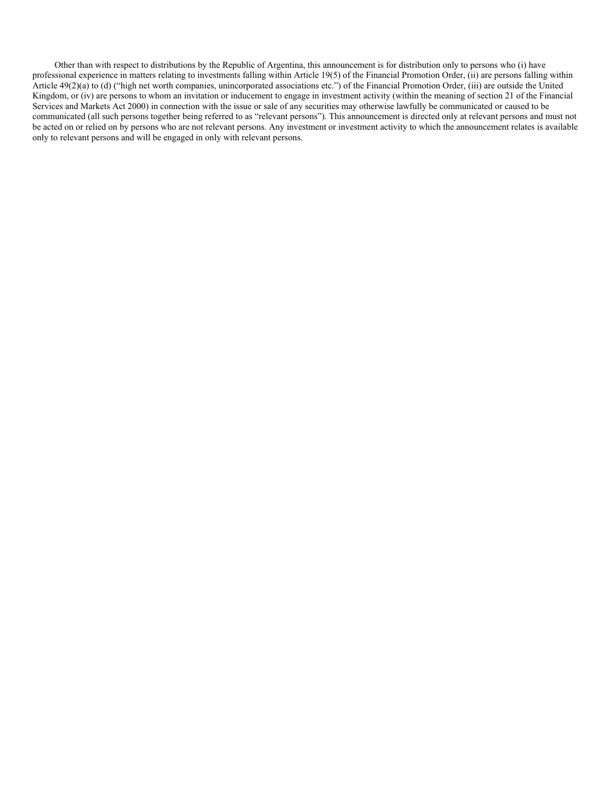Other than with respect to distributions by the Republic of Argentina, this announcement is for distribution only to persons who (i) have professional experience in matters relating to investments falling within Article 19(5) of the Financial Promotion Order, (ii) are persons falling within Article 49(2)(a) to (d) ("high net worth companies, unincorporated associations etc.") of the Financial Promotion Order, (iii) are outside the United Kingdom, or (iv) are persons to whom an invitation or inducement to engage in investment activity (within the meaning of section 21 of the Financial Services and Markets Act 2000) in connection with the issue or sale of any securities may otherwise lawfully be communicated or caused to be communicated (all such persons together being referred to as "relevant persons"). This announcement is directed only at relevant persons and must not be acted on or relied on by persons who are not relevant persons. Any investment or investment activity to which the announcement relates is available only to relevant persons and will be engaged in only with relevant persons.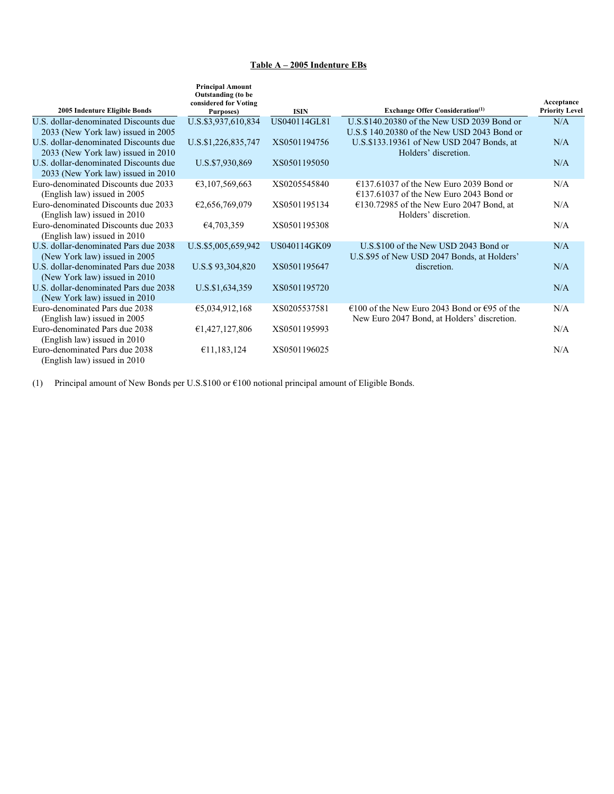# **Table A – 2005 Indenture EBs**

| 2005 Indenture Eligible Bonds                                               | <b>Principal Amount</b><br>Outstanding (to be<br>considered for Voting<br>Purposes) | <b>ISIN</b>  | <b>Exchange Offer Consideration</b> <sup>(1)</sup>                | Acceptance<br><b>Priority Level</b> |
|-----------------------------------------------------------------------------|-------------------------------------------------------------------------------------|--------------|-------------------------------------------------------------------|-------------------------------------|
| U.S. dollar-denominated Discounts due                                       | U.S.\$3,937,610,834                                                                 | US040114GL81 | U.S.\$140.20380 of the New USD 2039 Bond or                       | N/A                                 |
| 2033 (New York law) issued in 2005                                          |                                                                                     |              | U.S.\$140.20380 of the New USD 2043 Bond or                       |                                     |
| U.S. dollar-denominated Discounts due<br>2033 (New York law) issued in 2010 | U.S.\$1,226,835,747                                                                 | XS0501194756 | U.S.\$133.19361 of New USD 2047 Bonds, at<br>Holders' discretion. | N/A                                 |
| U.S. dollar-denominated Discounts due                                       | U.S.\$7,930,869                                                                     | XS0501195050 |                                                                   | N/A                                 |
| 2033 (New York law) issued in 2010                                          |                                                                                     |              |                                                                   |                                     |
| Euro-denominated Discounts due 2033                                         | 63,107,569,663                                                                      | XS0205545840 | $£137.61037$ of the New Euro 2039 Bond or                         | N/A                                 |
| (English law) issued in 2005                                                |                                                                                     |              | $£137.61037$ of the New Euro 2043 Bond or                         |                                     |
| Euro-denominated Discounts due 2033                                         | E2,656,769,079                                                                      | XS0501195134 | $E$ 130.72985 of the New Euro 2047 Bond, at                       | N/A                                 |
| (English law) issued in 2010                                                |                                                                                     |              | Holders' discretion.                                              |                                     |
| Euro-denominated Discounts due 2033<br>(English law) issued in 2010         | €4,703,359                                                                          | XS0501195308 |                                                                   | N/A                                 |
| U.S. dollar-denominated Pars due 2038                                       |                                                                                     | US040114GK09 | U.S.\$100 of the New USD 2043 Bond or                             | N/A                                 |
| (New York law) issued in 2005                                               | U.S.\$5,005,659,942                                                                 |              | U.S.\$95 of New USD 2047 Bonds, at Holders'                       |                                     |
| U.S. dollar-denominated Pars due 2038                                       | U.S.\$93,304,820                                                                    | XS0501195647 | discretion.                                                       | N/A                                 |
| (New York law) issued in 2010                                               |                                                                                     |              |                                                                   |                                     |
| U.S. dollar-denominated Pars due 2038                                       | U.S.\$1,634,359                                                                     | XS0501195720 |                                                                   | N/A                                 |
| (New York law) issued in 2010                                               |                                                                                     |              |                                                                   |                                     |
| Euro-denominated Pars due 2038                                              | €5,034,912,168                                                                      | XS0205537581 | $\epsilon$ 100 of the New Euro 2043 Bond or $\epsilon$ 95 of the  | N/A                                 |
| (English law) issued in 2005                                                |                                                                                     |              | New Euro 2047 Bond, at Holders' discretion.                       |                                     |
| Euro-denominated Pars due 2038                                              | €1,427,127,806                                                                      | XS0501195993 |                                                                   | N/A                                 |
| (English law) issued in 2010                                                |                                                                                     |              |                                                                   |                                     |
| Euro-denominated Pars due 2038                                              | £11,183,124                                                                         | XS0501196025 |                                                                   | N/A                                 |
| (English law) issued in 2010                                                |                                                                                     |              |                                                                   |                                     |

(1) Principal amount of New Bonds per U.S.\$100 or €100 notional principal amount of Eligible Bonds.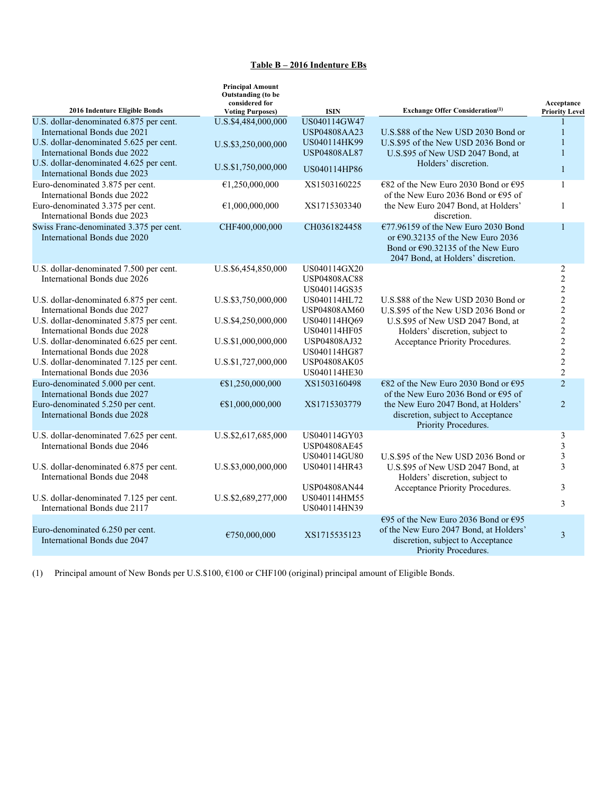# **Table B – 2016 Indenture EBs**

| 2016 Indenture Eligible Bonds           | <b>Principal Amount</b><br><b>Outstanding</b> (to be<br>considered for | <b>ISIN</b>         | <b>Exchange Offer Consideration</b> <sup>(1)</sup>       | Acceptance              |
|-----------------------------------------|------------------------------------------------------------------------|---------------------|----------------------------------------------------------|-------------------------|
| U.S. dollar-denominated 6.875 per cent. | <b>Voting Purposes)</b><br>U.S.\$4,484,000,000                         | US040114GW47        |                                                          | <b>Priority Level</b>   |
| International Bonds due 2021            |                                                                        | <b>USP04808AA23</b> | U.S.\$88 of the New USD 2030 Bond or                     | $\mathbf{1}$            |
| U.S. dollar-denominated 5.625 per cent. |                                                                        | US040114HK99        | U.S.\$95 of the New USD 2036 Bond or                     | $\mathbf{1}$            |
| International Bonds due 2022            | U.S.\$3,250,000,000                                                    | <b>USP04808AL87</b> | U.S.\$95 of New USD 2047 Bond, at                        | $\mathbf{1}$            |
| U.S. dollar-denominated 4.625 per cent. |                                                                        |                     | Holders' discretion.                                     |                         |
| International Bonds due 2023            | U.S.\$1,750,000,000                                                    | US040114HP86        |                                                          | $\mathbf{1}$            |
| Euro-denominated 3.875 per cent.        | €1,250,000,000                                                         | XS1503160225        | €82 of the New Euro 2030 Bond or €95                     | $\mathbf{1}$            |
| International Bonds due 2022            |                                                                        |                     | of the New Euro 2036 Bond or $E$ 95 of                   |                         |
| Euro-denominated 3.375 per cent.        | €1,000,000,000                                                         | XS1715303340        | the New Euro 2047 Bond, at Holders'                      | $\mathbf{1}$            |
| International Bonds due 2023            |                                                                        |                     | discretion.                                              |                         |
| Swiss Franc-denominated 3.375 per cent. | CHF400,000,000                                                         | CH0361824458        | $E$ 77.96159 of the New Euro 2030 Bond                   | $\mathbf{1}$            |
| International Bonds due 2020            |                                                                        |                     | or $\epsilon$ 90.32135 of the New Euro 2036              |                         |
|                                         |                                                                        |                     | Bond or $\epsilon$ 90.32135 of the New Euro              |                         |
|                                         |                                                                        |                     | 2047 Bond, at Holders' discretion.                       |                         |
| U.S. dollar-denominated 7.500 per cent. | U.S.\$6,454,850,000                                                    | US040114GX20        |                                                          | $\overline{2}$          |
| International Bonds due 2026            |                                                                        | <b>USP04808AC88</b> |                                                          | $\overline{2}$          |
|                                         |                                                                        | US040114GS35        |                                                          | $\overline{c}$          |
| U.S. dollar-denominated 6.875 per cent. | U.S.\$3,750,000,000                                                    | US040114HL72        | U.S.\$88 of the New USD 2030 Bond or                     | $\overline{c}$          |
| International Bonds due 2027            |                                                                        | <b>USP04808AM60</b> | U.S.\$95 of the New USD 2036 Bond or                     | $\overline{c}$          |
| U.S. dollar-denominated 5.875 per cent. | U.S.\$4,250,000,000                                                    | US040114HQ69        | U.S.\$95 of New USD 2047 Bond, at                        |                         |
| International Bonds due 2028            |                                                                        | US040114HF05        | Holders' discretion, subject to                          | $\frac{2}{2}$           |
| U.S. dollar-denominated 6.625 per cent. | U.S.\$1,000,000,000                                                    | USP04808AJ32        | Acceptance Priority Procedures.                          | $\overline{c}$          |
| International Bonds due 2028            |                                                                        | US040114HG87        |                                                          | $\overline{c}$          |
| U.S. dollar-denominated 7.125 per cent. | U.S.\$1,727,000,000                                                    | <b>USP04808AK05</b> |                                                          | $\overline{2}$          |
| International Bonds due 2036            |                                                                        | US040114HE30        |                                                          | $\overline{2}$          |
| Euro-denominated 5.000 per cent.        | €\$1,250,000,000                                                       | XS1503160498        | $\epsilon$ 82 of the New Euro 2030 Bond or $\epsilon$ 95 | $\overline{2}$          |
| International Bonds due 2027            |                                                                        |                     | of the New Euro 2036 Bond or $E95$ of                    |                         |
| Euro-denominated 5.250 per cent.        | €\$1,000,000,000                                                       | XS1715303779        | the New Euro 2047 Bond, at Holders'                      | $\overline{2}$          |
| International Bonds due 2028            |                                                                        |                     | discretion, subject to Acceptance                        |                         |
|                                         |                                                                        |                     | Priority Procedures.                                     |                         |
| U.S. dollar-denominated 7.625 per cent. | U.S.\$2,617,685,000                                                    | US040114GY03        |                                                          | 3                       |
| International Bonds due 2046            |                                                                        | USP04808AE45        |                                                          | 3                       |
|                                         |                                                                        | US040114GU80        | U.S.\$95 of the New USD 2036 Bond or                     | 3                       |
| U.S. dollar-denominated 6.875 per cent. | U.S.\$3,000,000,000                                                    | US040114HR43        | U.S.\$95 of New USD 2047 Bond, at                        | 3                       |
| International Bonds due 2048            |                                                                        |                     | Holders' discretion, subject to                          |                         |
|                                         |                                                                        | <b>USP04808AN44</b> | Acceptance Priority Procedures.                          | 3                       |
| U.S. dollar-denominated 7.125 per cent. | U.S.\$2,689,277,000                                                    | US040114HM55        |                                                          | 3                       |
| International Bonds due 2117            |                                                                        | US040114HN39        |                                                          |                         |
|                                         |                                                                        |                     | €95 of the New Euro 2036 Bond or €95                     |                         |
| Euro-denominated 6.250 per cent.        | €750,000,000                                                           | XS1715535123        | of the New Euro 2047 Bond, at Holders'                   | $\overline{\mathbf{3}}$ |
| International Bonds due 2047            |                                                                        |                     | discretion, subject to Acceptance                        |                         |
|                                         |                                                                        |                     | Priority Procedures.                                     |                         |

(1) Principal amount of New Bonds per U.S.\$100, €100 or CHF100 (original) principal amount of Eligible Bonds.